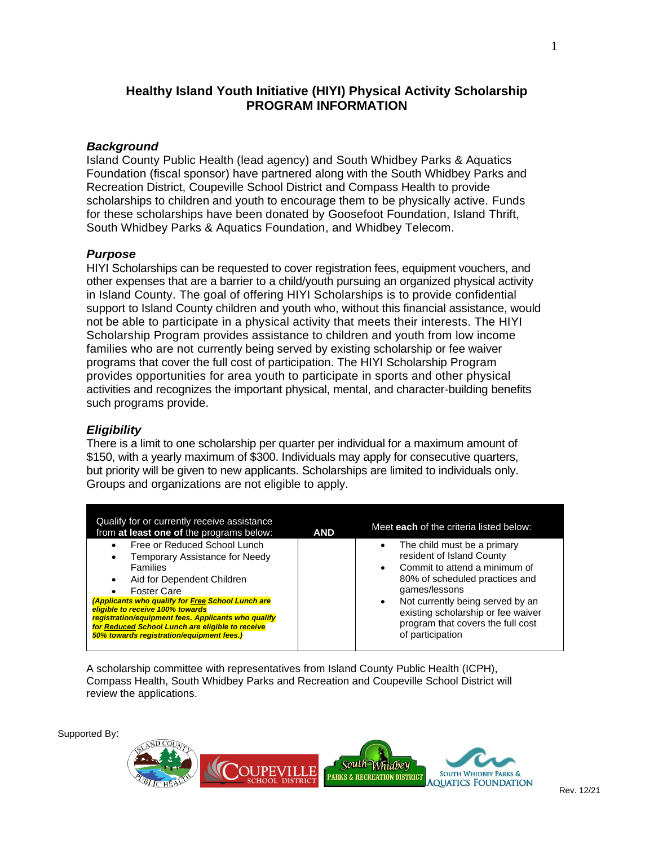# **Healthy Island Youth Initiative (HIYI) Physical Activity Scholarship PROGRAM INFORMATION**

## *Background*

Island County Public Health (lead agency) and South Whidbey Parks & Aquatics Foundation (fiscal sponsor) have partnered along with the South Whidbey Parks and Recreation District, Coupeville School District and Compass Health to provide scholarships to children and youth to encourage them to be physically active. Funds for these scholarships have been donated by Goosefoot Foundation, Island Thrift, South Whidbey Parks & Aquatics Foundation, and Whidbey Telecom.

### *Purpose*

HIYI Scholarships can be requested to cover registration fees, equipment vouchers, and other expenses that are a barrier to a child/youth pursuing an organized physical activity in Island County. The goal of offering HIYI Scholarships is to provide confidential support to Island County children and youth who, without this financial assistance, would not be able to participate in a physical activity that meets their interests. The HIYI Scholarship Program provides assistance to children and youth from low income families who are not currently being served by existing scholarship or fee waiver programs that cover the full cost of participation. The HIYI Scholarship Program provides opportunities for area youth to participate in sports and other physical activities and recognizes the important physical, mental, and character-building benefits such programs provide.

## *Eligibility*

There is a limit to one scholarship per quarter per individual for a maximum amount of \$150, with a yearly maximum of \$300. Individuals may apply for consecutive quarters, but priority will be given to new applicants. Scholarships are limited to individuals only. Groups and organizations are not eligible to apply.

| Qualify for or currently receive assistance<br>from at least one of the programs below:                                                                                                                                                                                                                                                                                                | <b>AND</b> | Meet each of the criteria listed below:                                                                                                                                                                                                                                                                   |
|----------------------------------------------------------------------------------------------------------------------------------------------------------------------------------------------------------------------------------------------------------------------------------------------------------------------------------------------------------------------------------------|------------|-----------------------------------------------------------------------------------------------------------------------------------------------------------------------------------------------------------------------------------------------------------------------------------------------------------|
| Free or Reduced School Lunch<br>Temporary Assistance for Needy<br><b>Families</b><br>Aid for Dependent Children<br><b>Foster Care</b><br>(Applicants who qualify for Free School Lunch are<br>eligible to receive 100% towards<br>registration/equipment fees. Applicants who qualify<br>for Reduced School Lunch are eligible to receive<br>50% towards registration/equipment fees.) |            | The child must be a primary<br>resident of Island County<br>Commit to attend a minimum of<br>$\bullet$<br>80% of scheduled practices and<br>games/lessons<br>Not currently being served by an<br>$\bullet$<br>existing scholarship or fee waiver<br>program that covers the full cost<br>of participation |

A scholarship committee with representatives from Island County Public Health (ICPH), Compass Health, South Whidbey Parks and Recreation and Coupeville School District will review the applications.

Supported By:

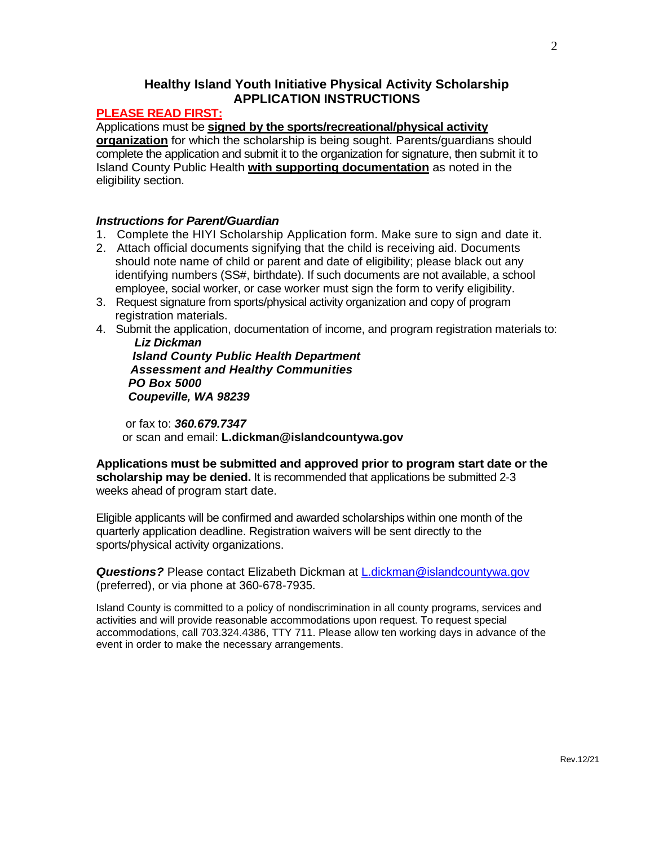# **Healthy Island Youth Initiative Physical Activity Scholarship APPLICATION INSTRUCTIONS**

## **PLEASE READ FIRST:**

Applications must be **signed by the sports/recreational/physical activity** 

**organization** for which the scholarship is being sought. Parents/guardians should complete the application and submit it to the organization for signature, then submit it to Island County Public Health **with supporting documentation** as noted in the eligibility section.

### *Instructions for Parent/Guardian*

- 1. Complete the HIYI Scholarship Application form. Make sure to sign and date it.
- 2. Attach official documents signifying that the child is receiving aid. Documents should note name of child or parent and date of eligibility; please black out any identifying numbers (SS#, birthdate). If such documents are not available, a school employee, social worker, or case worker must sign the form to verify eligibility.
- 3. Request signature from sports/physical activity organization and copy of program registration materials.
- 4. Submit the application, documentation of income, and program registration materials to:  *Liz Dickman*

 *Island County Public Health Department Assessment and Healthy Communities PO Box 5000 Coupeville, WA 98239*

 or fax to: *360.679.7347* or scan and email: **L.dickman@islandcountywa.gov**

**Applications must be submitted and approved prior to program start date or the scholarship may be denied.** It is recommended that applications be submitted 2-3 weeks ahead of program start date.

Eligible applicants will be confirmed and awarded scholarships within one month of the quarterly application deadline. Registration waivers will be sent directly to the sports/physical activity organizations.

*Questions?* Please contact Elizabeth Dickman at [L.dickman@islandcountywa.gov](mailto:L.dickman@islandcountywa.gov) (preferred), or via phone at 360-678-7935.

Island County is committed to a policy of nondiscrimination in all county programs, services and activities and will provide reasonable accommodations upon request. To request special accommodations, call 703.324.4386, TTY 711. Please allow ten working days in advance of the event in order to make the necessary arrangements.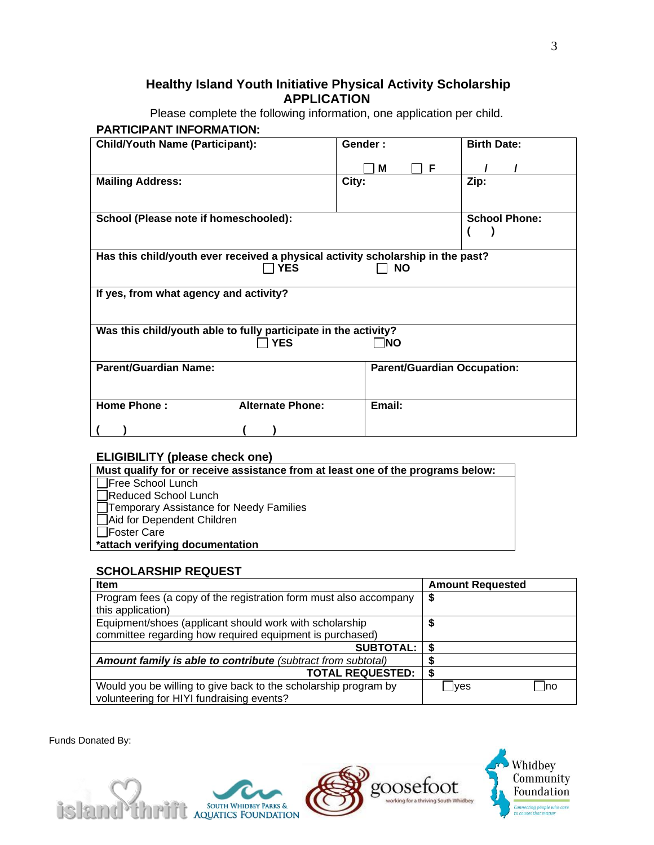# **Healthy Island Youth Initiative Physical Activity Scholarship APPLICATION**

Please complete the following information, one application per child. **PARTICIPANT INFORMATION:**

| <b>Child/Youth Name (Participant):</b>                                          | Gender:                            | <b>Birth Date:</b>   |  |  |
|---------------------------------------------------------------------------------|------------------------------------|----------------------|--|--|
|                                                                                 | M<br>-F                            |                      |  |  |
| <b>Mailing Address:</b>                                                         | City:                              | Zip:                 |  |  |
|                                                                                 |                                    |                      |  |  |
| School (Please note if homeschooled):                                           |                                    | <b>School Phone:</b> |  |  |
|                                                                                 |                                    |                      |  |  |
| Has this child/youth ever received a physical activity scholarship in the past? |                                    |                      |  |  |
| <b>YES</b>                                                                      | <b>NO</b>                          |                      |  |  |
| If yes, from what agency and activity?                                          |                                    |                      |  |  |
| Was this child/youth able to fully participate in the activity?                 |                                    |                      |  |  |
| <b>YES</b>                                                                      | <b>NO</b>                          |                      |  |  |
| <b>Parent/Guardian Name:</b>                                                    | <b>Parent/Guardian Occupation:</b> |                      |  |  |
|                                                                                 |                                    |                      |  |  |
| <b>Home Phone:</b><br><b>Alternate Phone:</b>                                   | Email:                             |                      |  |  |
|                                                                                 |                                    |                      |  |  |

## **ELIGIBILITY (please check one)**

### **SCHOLARSHIP REQUEST**

| <b>Item</b>                                                       | <b>Amount Requested</b> |
|-------------------------------------------------------------------|-------------------------|
| Program fees (a copy of the registration form must also accompany | \$                      |
| this application)                                                 |                         |
| Equipment/shoes (applicant should work with scholarship           | \$                      |
| committee regarding how required equipment is purchased)          |                         |
| <b>SUBTOTAL:</b>                                                  | \$                      |
| Amount family is able to contribute (subtract from subtotal)      |                         |
| <b>TOTAL REQUESTED:</b>                                           | S                       |
| Would you be willing to give back to the scholarship program by   | Ino<br>⊴yes             |
| volunteering for HIYI fundraising events?                         |                         |

Funds Donated By: